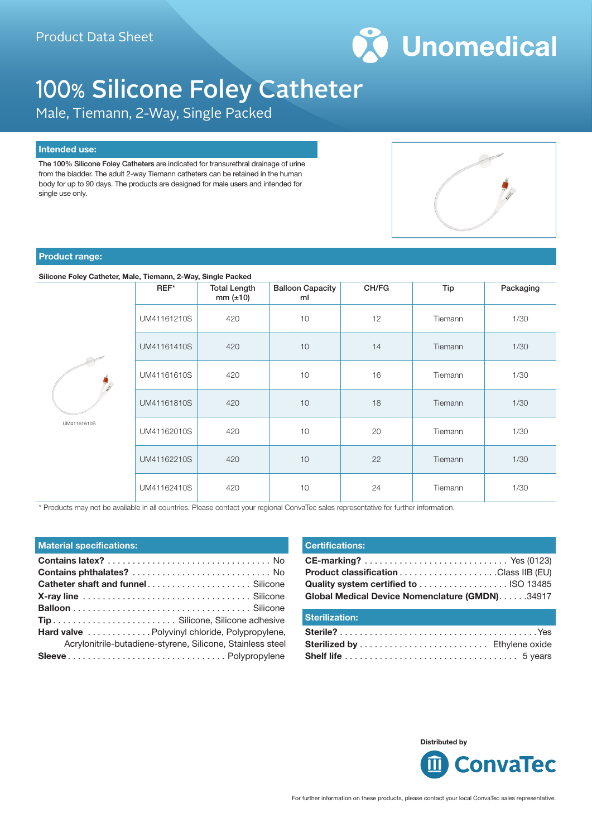

# 100% Silicone Foley Catheter

Male, Tiemann, 2-Way, Single Packed

#### **Intended use:**

The 100% Silicone Foley Catheters are indicated for transurethral drainage of urine from the bladder. The adult 2-way Tiemann catheters can be retained in the human body for up to 90 days. The products are designed for male users and intended for single use only.



## **Product range:**

#### **Silicone Foley Catheter, Male, Tiemann, 2-Way, Single Packed**

|             | $REF^*$     | <b>Total Length</b><br>$mm (\pm 10)$ | <b>Balloon Capacity</b><br>ml | CH/FG | Tip     | Packaging |
|-------------|-------------|--------------------------------------|-------------------------------|-------|---------|-----------|
| UM41161610S | UM41161210S | 420                                  | 10                            | 12    | Tiemann | 1/30      |
|             | UM41161410S | 420                                  | 10                            | 14    | Tiemann | 1/30      |
|             | UM41161610S | 420                                  | 10                            | 16    | Tiemann | 1/30      |
|             | UM41161810S | 420                                  | 10                            | 18    | Tiemann | 1/30      |
|             | UM41162010S | 420                                  | 10                            | 20    | Tiemann | 1/30      |
|             | UM41162210S | 420                                  | 10                            | 22    | Tiemann | 1/30      |
|             | UM41162410S | 420                                  | 10                            | 24    | Tiemann | 1/30      |

\* Products may not be available in all countries. Please contact your regional ConvaTec sales representative for further information.

| <b>Material specifications:</b>                            |
|------------------------------------------------------------|
|                                                            |
|                                                            |
|                                                            |
|                                                            |
|                                                            |
|                                                            |
| Hard valve Polyvinyl chloride, Polypropylene,              |
| Acrylonitrile-butadiene-styrene, Silicone, Stainless steel |
|                                                            |

#### **Certifications:**

| Global Medical Device Nomenclature (GMDN). 34917 |  |
|--------------------------------------------------|--|

### **Sterilization:**